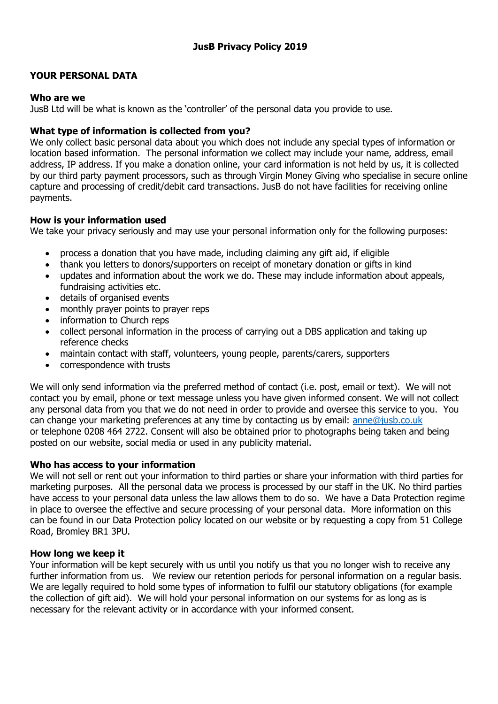# **YOUR PERSONAL DATA**

### **Who are we**

JusB Ltd will be what is known as the 'controller' of the personal data you provide to use.

## **What type of information is collected from you?**

We only collect basic personal data about you which does not include any special types of information or location based information. The personal information we collect may include your name, address, email address, IP address. If you make a donation online, your card information is not held by us, it is collected by our third party payment processors, such as through Virgin Money Giving who specialise in secure online capture and processing of credit/debit card transactions. JusB do not have facilities for receiving online payments.

### **How is your information used**

We take your privacy seriously and may use your personal information only for the following purposes:

- process a donation that you have made, including claiming any gift aid, if eligible
- thank you letters to donors/supporters on receipt of monetary donation or gifts in kind
- updates and information about the work we do. These may include information about appeals, fundraising activities etc.
- details of organised events
- monthly prayer points to prayer reps
- information to Church reps
- collect personal information in the process of carrying out a DBS application and taking up reference checks
- maintain contact with staff, volunteers, young people, parents/carers, supporters
- correspondence with trusts

We will only send information via the preferred method of contact (i.e. post, email or text). We will not contact you by email, phone or text message unless you have given informed consent. We will not collect any personal data from you that we do not need in order to provide and oversee this service to you. You can change your marketing preferences at any time by contacting us by email: [anne@jusb.co.uk](mailto:anne@jusb.co.uk) or telephone 0208 464 2722. Consent will also be obtained prior to photographs being taken and being posted on our website, social media or used in any publicity material.

### **Who has access to your information**

We will not sell or rent out your information to third parties or share your information with third parties for marketing purposes. All the personal data we process is processed by our staff in the UK. No third parties have access to your personal data unless the law allows them to do so. We have a Data Protection regime in place to oversee the effective and secure processing of your personal data. More information on this can be found in our Data Protection policy located on our website or by requesting a copy from 51 College Road, Bromley BR1 3PU.

### **How long we keep it**

Your information will be kept securely with us until you notify us that you no longer wish to receive any further information from us. We review our retention periods for personal information on a regular basis. We are legally required to hold some types of information to fulfil our statutory obligations (for example the collection of gift aid). We will hold your personal information on our systems for as long as is necessary for the relevant activity or in accordance with your informed consent.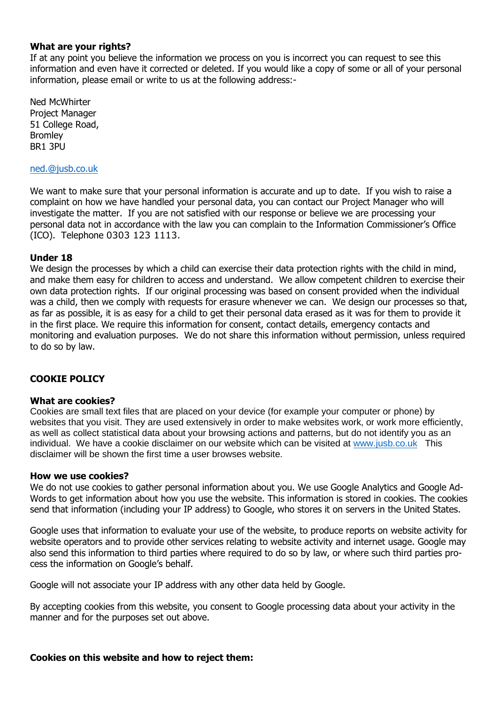### **What are your rights?**

If at any point you believe the information we process on you is incorrect you can request to see this information and even have it corrected or deleted. If you would like a copy of some or all of your personal information, please email or write to us at the following address:-

Ned McWhirter Project Manager 51 College Road, Bromley BR1 3PU

#### [ned.@jusb.co.uk](mailto:Ned.@jusb.co.uk)

We want to make sure that your personal information is accurate and up to date. If you wish to raise a complaint on how we have handled your personal data, you can contact our Project Manager who will investigate the matter. If you are not satisfied with our response or believe we are processing your personal data not in accordance with the law you can complain to the Information Commissioner's Office (ICO). Telephone 0303 123 1113.

### **Under 18**

We design the processes by which a child can exercise their data protection rights with the child in mind, and make them easy for children to access and understand. We allow competent children to exercise their own data protection rights. If our original processing was based on consent provided when the individual was a child, then we comply with requests for erasure whenever we can. We design our processes so that, as far as possible, it is as easy for a child to get their personal data erased as it was for them to provide it in the first place. We require this information for consent, contact details, emergency contacts and monitoring and evaluation purposes. We do not share this information without permission, unless required to do so by law.

### **COOKIE POLICY**

### **What are cookies?**

Cookies are small text files that are placed on your device (for example your computer or phone) by websites that you visit. They are used extensively in order to make websites work, or work more efficiently, as well as collect statistical data about your browsing actions and patterns, but do not identify you as an individual. We have a cookie disclaimer on our website which can be visited at [www.jusb.co.uk](http://www.jusb.co.uk/) This disclaimer will be shown the first time a user browses website.

#### **How we use cookies?**

We do not use cookies to gather personal information about you. We use Google Analytics and Google Ad-Words to get information about how you use the website. This information is stored in cookies. The cookies send that information (including your IP address) to Google, who stores it on servers in the United States.

Google uses that information to evaluate your use of the website, to produce reports on website activity for website operators and to provide other services relating to website activity and internet usage. Google may also send this information to third parties where required to do so by law, or where such third parties process the information on Google's behalf.

Google will not associate your IP address with any other data held by Google.

By accepting cookies from this website, you consent to Google processing data about your activity in the manner and for the purposes set out above.

### **Cookies on this website and how to reject them:**